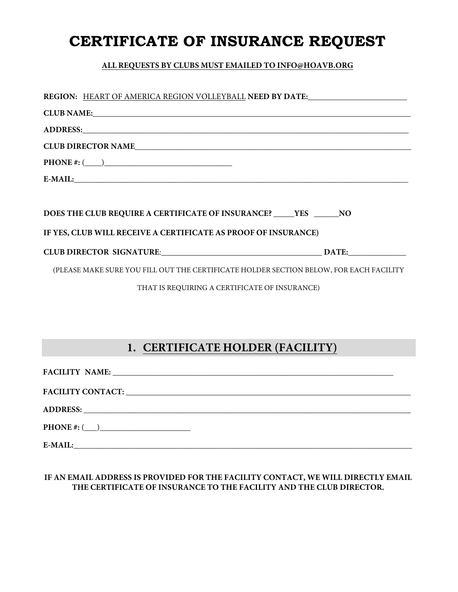# **CERTIFICATE OF INSURANCE REQUEST**

### **ALL REQUESTS BY CLUBS MUST EMAILED TO INFO@HOAVB.ORG**

| REGION: HEART OF AMERICA REGION VOLLEYBALL NEED BY DATE:                               |
|----------------------------------------------------------------------------------------|
|                                                                                        |
|                                                                                        |
| CLUB DIRECTOR NAME                                                                     |
|                                                                                        |
| E-MAIL: E-MAIL:                                                                        |
|                                                                                        |
| DOES THE CLUB REQUIRE A CERTIFICATE OF INSURANCE? YES NO                               |
| IF YES, CLUB WILL RECEIVE A CERTIFICATE AS PROOF OF INSURANCE)                         |
|                                                                                        |
| (PLEASE MAKE SURE YOU FILL OUT THE CERTIFICATE HOLDER SECTION BELOW, FOR EACH FACILITY |
| THAT IS REQUIRING A CERTIFICATE OF INSURANCE)                                          |

## **1. CERTIFICATE HOLDER (FACILITY)**

| FACILITY NAME:     |  |
|--------------------|--|
|                    |  |
|                    |  |
| $PHONE \#: (\_\_)$ |  |
| E-MAIL:            |  |

#### **IF AN EMAIL ADDRESS IS PROVIDED FOR THE FACILITY CONTACT, WE WILL DIRECTLY EMAIL THE CERTIFICATE OF INSURANCE TO THE FACILITY AND THE CLUB DIRECTOR.**